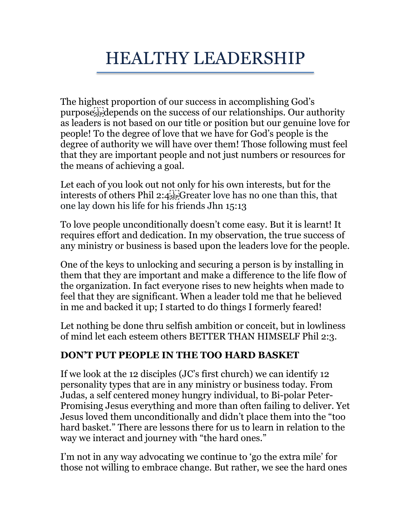# HEALTHY LEADERSHIP

The highest proportion of our success in accomplishing God's purpose depends on the success of our relationships. Our authority as leaders is not based on our title or position but our genuine love for people! To the degree of love that we have for God's people is the degree of authority we will have over them! Those following must feel that they are important people and not just numbers or resources for the means of achieving a goal.

Let each of you look out not only for his own interests, but for the interests of others Phil 2:4 Greater love has no one than this, that one lay down his life for his friends Jhn 15:13

To love people unconditionally doesn't come easy. But it is learnt! It requires effort and dedication. In my observation, the true success of any ministry or business is based upon the leaders love for the people.

One of the keys to unlocking and securing a person is by installing in them that they are important and make a difference to the life flow of the organization. In fact everyone rises to new heights when made to feel that they are significant. When a leader told me that he believed in me and backed it up; I started to do things I formerly feared!

Let nothing be done thru selfish ambition or conceit, but in lowliness of mind let each esteem others BETTER THAN HIMSELF Phil 2:3.

### **DON'T PUT PEOPLE IN THE TOO HARD BASKET**

If we look at the 12 disciples (JC's first church) we can identify 12 personality types that are in any ministry or business today. From Judas, a self centered money hungry individual, to Bi-polar Peter-Promising Jesus everything and more than often failing to deliver. Yet Jesus loved them unconditionally and didn't place them into the "too hard basket." There are lessons there for us to learn in relation to the way we interact and journey with "the hard ones."

I'm not in any way advocating we continue to 'go the extra mile' for those not willing to embrace change. But rather, we see the hard ones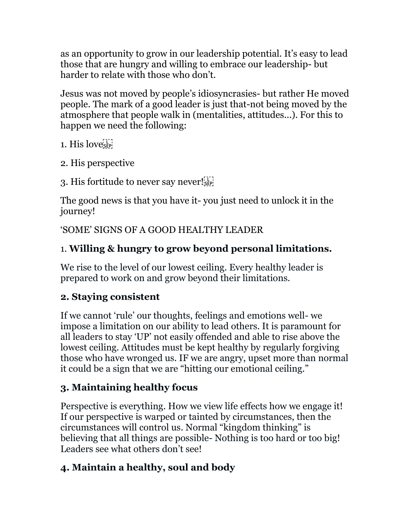as an opportunity to grow in our leadership potential. It's easy to lead those that are hungry and willing to embrace our leadership- but harder to relate with those who don't.

Jesus was not moved by people's idiosyncrasies- but rather He moved people. The mark of a good leader is just that-not being moved by the atmosphere that people walk in (mentalities, attitudes...). For this to happen we need the following:

1. His love's

2. His perspective

3. His fortitude to never say never! $\mathbb{S}^{\mathbb{N}}_{\text{sser}}$ 

The good news is that you have it- you just need to unlock it in the journey!

'SOME' SIGNS OF A GOOD HEALTHY LEADER

### 1. **Willing & hungry to grow beyond personal limitations.**

We rise to the level of our lowest ceiling. Every healthy leader is prepared to work on and grow beyond their limitations.

### **2. Staying consistent**

If we cannot 'rule' our thoughts, feelings and emotions well- we impose a limitation on our ability to lead others. It is paramount for all leaders to stay 'UP' not easily offended and able to rise above the lowest ceiling. Attitudes must be kept healthy by regularly forgiving those who have wronged us. IF we are angry, upset more than normal it could be a sign that we are "hitting our emotional ceiling."

# **3. Maintaining healthy focus**

Perspective is everything. How we view life effects how we engage it! If our perspective is warped or tainted by circumstances, then the circumstances will control us. Normal "kingdom thinking" is believing that all things are possible- Nothing is too hard or too big! Leaders see what others don't see!

# **4. Maintain a healthy, soul and body**